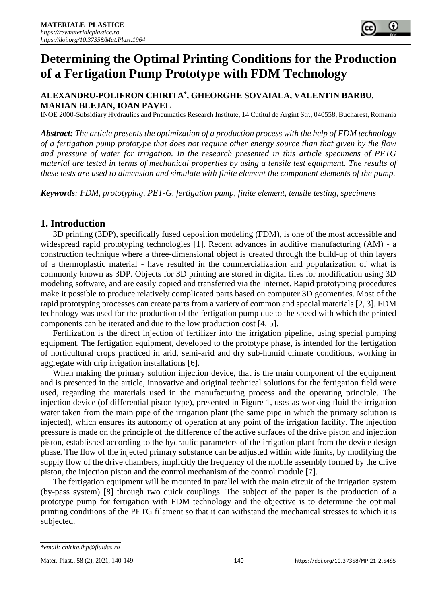# **Determining the Optimal Printing Conditions for the Production of a Fertigation Pump Prototype with FDM Technology**

## **ALEXANDRU-POLIFRON CHIRITA\* , GHEORGHE SOVAIALA, VALENTIN BARBU, MARIAN BLEJAN, IOAN PAVEL**

INOE 2000-Subsidiary Hydraulics and Pneumatics Research Institute, 14 Cutitul de Argint Str., 040558, Bucharest, Romania

*Abstract: The article presents the optimization of a production process with the help of FDM technology of a fertigation pump prototype that does not require other energy source than that given by the flow and pressure of water for irrigation. In the research presented in this article specimens of PETG material are tested in terms of mechanical properties by using a tensile test equipment. The results of these tests are used to dimension and simulate with finite element the component elements of the pump.*

*Keywords: FDM, prototyping, PET-G, fertigation pump, finite element, tensile testing, specimens*

#### **1. Introduction**

3D printing (3DP), specifically fused deposition modeling (FDM), is one of the most accessible and widespread rapid prototyping technologies [1]. Recent advances in additive manufacturing (AM) - a construction technique where a three-dimensional object is created through the build-up of thin layers of a thermoplastic material - have resulted in the commercialization and popularization of what is commonly known as 3DP. Objects for 3D printing are stored in digital files for modification using 3D modeling software, and are easily copied and transferred via the Internet. Rapid prototyping procedures make it possible to produce relatively complicated parts based on computer 3D geometries. Most of the rapid prototyping processes can create parts from a variety of common and special materials [2, 3]. FDM technology was used for the production of the fertigation pump due to the speed with which the printed components can be iterated and due to the low production cost [4, 5].

Fertilization is the direct injection of fertilizer into the irrigation pipeline, using special pumping equipment. The fertigation equipment, developed to the prototype phase, is intended for the fertigation of horticultural crops practiced in arid, semi-arid and dry sub-humid climate conditions, working in aggregate with drip irrigation installations [6].

When making the primary solution injection device, that is the main component of the equipment and is presented in the article, innovative and original technical solutions for the fertigation field were used, regarding the materials used in the manufacturing process and the operating principle. The injection device (of differential piston type), presented in Figure 1, uses as working fluid the irrigation water taken from the main pipe of the irrigation plant (the same pipe in which the primary solution is injected), which ensures its autonomy of operation at any point of the irrigation facility. The injection pressure is made on the principle of the difference of the active surfaces of the drive piston and injection piston, established according to the hydraulic parameters of the irrigation plant from the device design phase. The flow of the injected primary substance can be adjusted within wide limits, by modifying the supply flow of the drive chambers, implicitly the frequency of the mobile assembly formed by the drive piston, the injection piston and the control mechanism of the control module [7].

The fertigation equipment will be mounted in parallel with the main circuit of the irrigation system (by-pass system) [8] through two quick couplings. The subject of the paper is the production of a prototype pump for fertigation with FDM technology and the objective is to determine the optimal printing conditions of the PETG filament so that it can withstand the mechanical stresses to which it is subjected.

*<sup>\*</sup>email: chirita.ihp@fluidas.ro*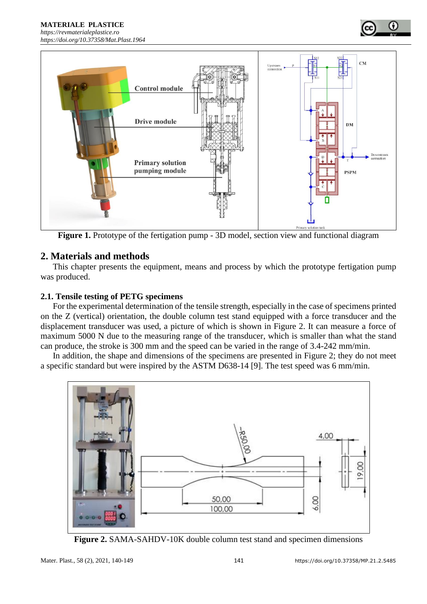



**Figure 1.** Prototype of the fertigation pump - 3D model, section view and functional diagram

# **2. Materials and methods**

This chapter presents the equipment, means and process by which the prototype fertigation pump was produced.

## **2.1. Tensile testing of PETG specimens**

For the experimental determination of the tensile strength, especially in the case of specimens printed on the Z (vertical) orientation, the double column test stand equipped with a force transducer and the displacement transducer was used, a picture of which is shown in Figure 2. It can measure a force of maximum 5000 N due to the measuring range of the transducer, which is smaller than what the stand can produce, the stroke is 300 mm and the speed can be varied in the range of 3.4-242 mm/min.

In addition, the shape and dimensions of the specimens are presented in Figure 2; they do not meet a specific standard but were inspired by the ASTM D638-14 [9]. The test speed was 6 mm/min.



**Figure 2.** SAMA-SAHDV-10K double column test stand and specimen dimensions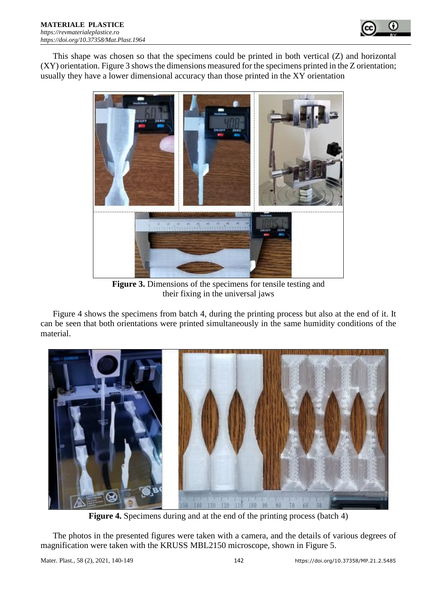

This shape was chosen so that the specimens could be printed in both vertical (Z) and horizontal (XY) orientation. Figure 3 shows the dimensions measured for the specimens printed in the Z orientation; usually they have a lower dimensional accuracy than those printed in the XY orientation



**Figure 3.** Dimensions of the specimens for tensile testing and their fixing in the universal jaws

Figure 4 shows the specimens from batch 4, during the printing process but also at the end of it. It can be seen that both orientations were printed simultaneously in the same humidity conditions of the material.



**Figure 4.** Specimens during and at the end of the printing process (batch 4)

The photos in the presented figures were taken with a camera, and the details of various degrees of magnification were taken with the KRUSS MBL2150 microscope, shown in Figure 5.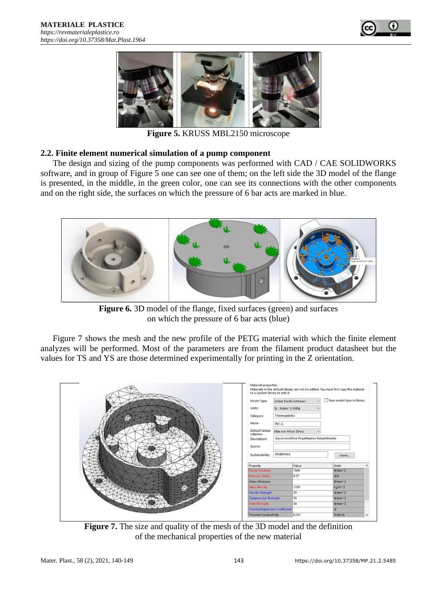



**Figure 5.** KRUSS MBL2150 microscope

#### **2.2. Finite element numerical simulation of a pump component**

The design and sizing of the pump components was performed with CAD / CAE SOLIDWORKS software, and in group of Figure 5 one can see one of them; on the left side the 3D model of the flange is presented, in the middle, in the green color, one can see its connections with the other components and on the right side, the surfaces on which the pressure of 6 bar acts are marked in blue.



**Figure 6.** 3D model of the flange, fixed surfaces (green) and surfaces on which the pressure of 6 bar acts (blue)

Figure 7 shows the mesh and the new profile of the PETG material with which the finite element analyzes will be performed. Most of the parameters are from the filament product datasheet but the values for TS and YS are those determined experimentally for printing in the Z orientation.



**Figure 7.** The size and quality of the mesh of the 3D model and the definition of the mechanical properties of the new material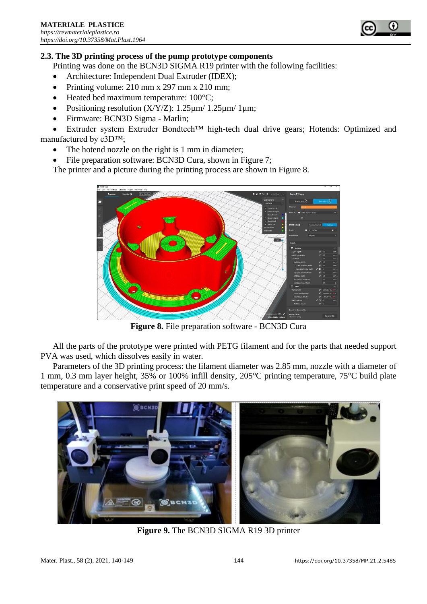

## **2.3. The 3D printing process of the pump prototype components**

Printing was done on the BCN3D SIGMA R19 printer with the following facilities:

- Architecture: Independent Dual Extruder (IDEX):
- Printing volume: 210 mm x 297 mm x 210 mm;
- Heated bed maximum temperature: 100°C;
- Positioning resolution  $(X/Y/Z)$ : 1.25 $\mu$ m/ 1.25 $\mu$ m/ 1 $\mu$ m;
- Firmware: BCN3D Sigma Marlin;

• Extruder system Extruder Bondtech™ high-tech dual drive gears; Hotends: Optimized and manufactured by e3D™;

- The hotend nozzle on the right is 1 mm in diameter;
- File preparation software: BCN3D Cura, shown in Figure 7;

The printer and a picture during the printing process are shown in Figure 8.



**Figure 8.** File preparation software - BCN3D Cura

All the parts of the prototype were printed with PETG filament and for the parts that needed support PVA was used, which dissolves easily in water.

Parameters of the 3D printing process: the filament diameter was 2.85 mm, nozzle with a diameter of 1 mm, 0.3 mm layer height, 35% or 100% infill density, 205°C printing temperature, 75°C build plate temperature and a conservative print speed of 20 mm/s.



**Figure 9.** The BCN3D SIGMA R19 3D printer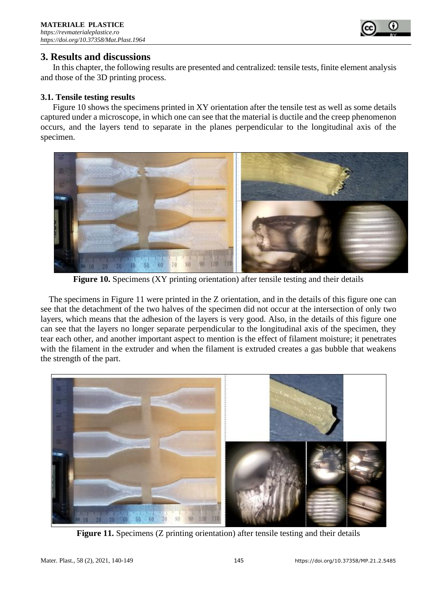

## **3. Results and discussions**

In this chapter, the following results are presented and centralized: tensile tests, finite element analysis and those of the 3D printing process.

#### **3.1. Tensile testing results**

Figure 10 shows the specimens printed in XY orientation after the tensile test as well as some details captured under a microscope, in which one can see that the material is ductile and the creep phenomenon occurs, and the layers tend to separate in the planes perpendicular to the longitudinal axis of the specimen.



**Figure 10.** Specimens (XY printing orientation) after tensile testing and their details

The specimens in Figure 11 were printed in the Z orientation, and in the details of this figure one can see that the detachment of the two halves of the specimen did not occur at the intersection of only two layers, which means that the adhesion of the layers is very good. Also, in the details of this figure one can see that the layers no longer separate perpendicular to the longitudinal axis of the specimen, they tear each other, and another important aspect to mention is the effect of filament moisture; it penetrates with the filament in the extruder and when the filament is extruded creates a gas bubble that weakens the strength of the part.



Figure 11. Specimens (Z printing orientation) after tensile testing and their details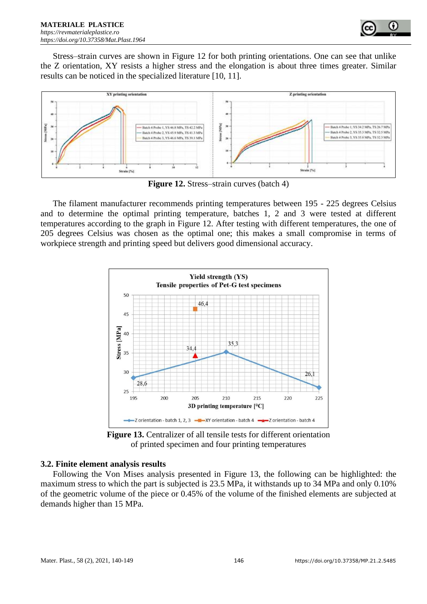

Stress–strain curves are shown in Figure 12 for both printing orientations. One can see that unlike the Z orientation, XY resists a higher stress and the elongation is about three times greater. Similar results can be noticed in the specialized literature [10, 11].



**Figure 12.** Stress–strain curves (batch 4)

The filament manufacturer recommends printing temperatures between 195 - 225 degrees Celsius and to determine the optimal printing temperature, batches 1, 2 and 3 were tested at different temperatures according to the graph in Figure 12. After testing with different temperatures, the one of 205 degrees Celsius was chosen as the optimal one; this makes a small compromise in terms of workpiece strength and printing speed but delivers good dimensional accuracy.



**Figure 13.** Centralizer of all tensile tests for different orientation of printed specimen and four printing temperatures

## **3.2. Finite element analysis results**

Following the Von Mises analysis presented in Figure 13, the following can be highlighted: the maximum stress to which the part is subjected is 23.5 MPa, it withstands up to 34 MPa and only 0.10% of the geometric volume of the piece or 0.45% of the volume of the finished elements are subjected at demands higher than 15 MPa.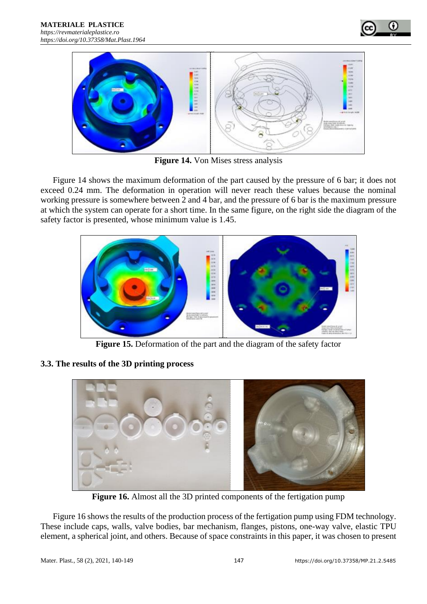



**Figure 14.** Von Mises stress analysis

Figure 14 shows the maximum deformation of the part caused by the pressure of 6 bar; it does not exceed 0.24 mm. The deformation in operation will never reach these values because the nominal working pressure is somewhere between 2 and 4 bar, and the pressure of 6 bar is the maximum pressure at which the system can operate for a short time. In the same figure, on the right side the diagram of the safety factor is presented, whose minimum value is 1.45.



**Figure 15.** Deformation of the part and the diagram of the safety factor

## **3.3. The results of the 3D printing process**



**Figure 16.** Almost all the 3D printed components of the fertigation pump

Figure 16 shows the results of the production process of the fertigation pump using FDM technology. These include caps, walls, valve bodies, bar mechanism, flanges, pistons, one-way valve, elastic TPU element, a spherical joint, and others. Because of space constraints in this paper, it was chosen to present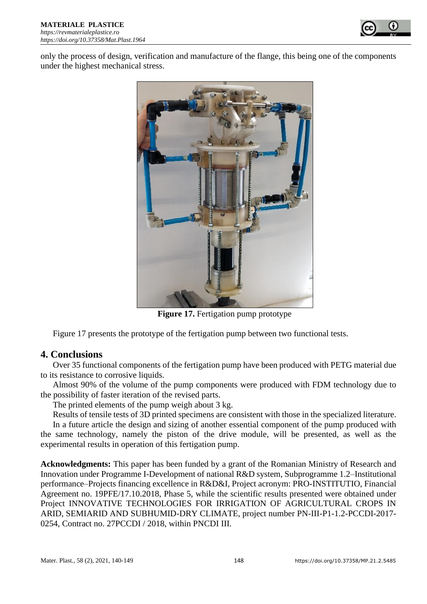

only the process of design, verification and manufacture of the flange, this being one of the components under the highest mechanical stress.



**Figure 17.** Fertigation pump prototype

Figure 17 presents the prototype of the fertigation pump between two functional tests.

# **4. Conclusions**

Over 35 functional components of the fertigation pump have been produced with PETG material due to its resistance to corrosive liquids.

Almost 90% of the volume of the pump components were produced with FDM technology due to the possibility of faster iteration of the revised parts.

The printed elements of the pump weigh about 3 kg.

Results of tensile tests of 3D printed specimens are consistent with those in the specialized literature.

In a future article the design and sizing of another essential component of the pump produced with the same technology, namely the piston of the drive module, will be presented, as well as the experimental results in operation of this fertigation pump.

**Acknowledgments:** This paper has been funded by a grant of the Romanian Ministry of Research and Innovation under Programme I-Development of national R&D system, Subprogramme 1.2–Institutional performance–Projects financing excellence in R&D&I, Project acronym: PRO-INSTITUTIO, Financial Agreement no. 19PFE/17.10.2018, Phase 5, while the scientific results presented were obtained under Project INNOVATIVE TECHNOLOGIES FOR IRRIGATION OF AGRICULTURAL CROPS IN ARID, SEMIARID AND SUBHUMID-DRY CLIMATE, project number PN-III-P1-1.2-PCCDI-2017- 0254, Contract no. 27PCCDI / 2018, within PNCDI III.